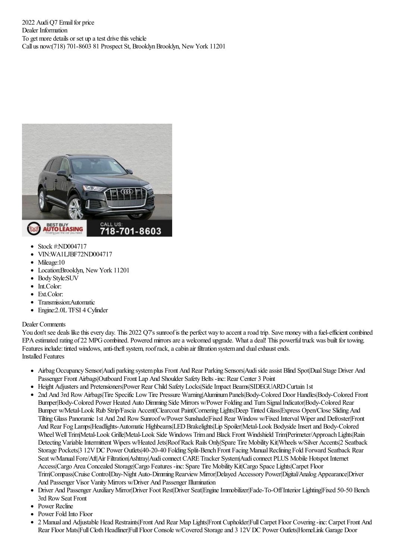2022 Audi O7 Email for price Dealer Information To get more details or set up a test drive this vehicle Call us now:(718) 701-8603 81 Prospect St, Brooklyn Brooklyn, New York 11201



- Stock #:ND004717
- VIN:WA1LJBF72ND004717
- Mileage:10
- Location:Brooklyn, NewYork 11201
- Body Style:SUV
- $\bullet$ Int.Color:
- Ext.Color:
- Transmission:Automatic
- Engine:2.0L TFSI 4 Cylinder

## Dealer Comments

You don't see deals like this every day. This 2022 Q7's sunroof is the perfect way to accent a road trip. Save money with a fuel-efficient combined EPA estimated rating of 22 MPG combined. Powered mirrors are a welcomed upgrade. What a deal! This powerful truck was built for towing. Features include: tinted windows, anti-theft system, roof rack, a cabin air filtration system and dual exhaust ends. Installed Features

- Airbag Occupancy Sensor|Audi parking system plus Front And Rear Parking Sensors|Audi side assist Blind Spot|Dual Stage Driver And Passenger Front Airbags|Outboard Front Lap And Shoulder Safety Belts -inc: Rear Center 3 Point
- Height Adjusters and Pretensioners|Power Rear Child Safety Locks|Side Impact Beams|SIDEGUARD Curtain 1st
- 2nd And 3rd RowAirbags|Tire Specific LowTire Pressure Warning|AluminumPanels|Body-Colored Door Handles|Body-Colored Front Bumper|Body-Colored Power Heated Auto Dimming Side Mirrors w/Power Folding and Turn Signal Indicator|Body-Colored Rear Bumper w/Metal-Look Rub Strip/Fascia Accent|Clearcoat Paint|Cornering Lights|Deep Tinted Glass|Express Open/Close Sliding And TiltingGlass Panoramic 1st And 2nd RowSunroofw/Power Sunshade|Fixed Rear Windoww/Fixed IntervalWiperand Defroster|Front And Rear FogLamps|Headlights-Automatic Highbeams|LEDBrakelights|Lip Spoiler|Metal-Look BodysideInsertand Body-Colored Wheel Well TrimMetal-Look Grille|Metal-Look Side Windows Trimand Black Front Windshield Trim|Perimeter/Approach Lights|Rain Detecting Variable Intermittent Wipers w/Heated Jets|Roof Rack Rails Only|Spare Tire Mobility Kit|Wheels w/Silver Accents|2 Seatback Storage Pockets<sup>[3]</sup> 12VDC Power Outlets<sup>[40-20-40</sup> Folding Split-Bench Front Facing Manual Reclining Fold Forward Seatback Rear Seat w/Manual Fore/Aft|Air Filtration|Ashtray|Audi connect CARE Tracker System|Audi connect PLUS Mobile Hotspot Internet Access|Cargo Area Concealed Storage|Cargo Features -inc:Spare Tire MobilityKit|Cargo Space Lights|Carpet Floor Trim|Compass|Cruise Control|Day-Night Auto-Dimming Rearview Mirror|Delayed Accessory Power|Digital/Analog Appearance|Driver And Passenger Visor Vanity Mirrors w/Driver And Passenger Illumination
- Driver And Passenger Auxiliary Mirror|Driver Foot Rest|Driver Seat|Engine Immobilizer|Fade-To-Off Interior Lighting|Fixed 50-50 Bench 3rd RowSeat Front
- Power Recline
- Power Fold Into Floor
- 2 Manualand Adjustable Head Restraints|Front And Rear Map Lights|Front Cupholder|FullCarpet Floor Covering -inc:Carpet Front And Rear Floor Mats|Full Cloth Headliner|Full Floor Console w/Covered Storage and 3 12V DC Power Outlets|HomeLink Garage Door